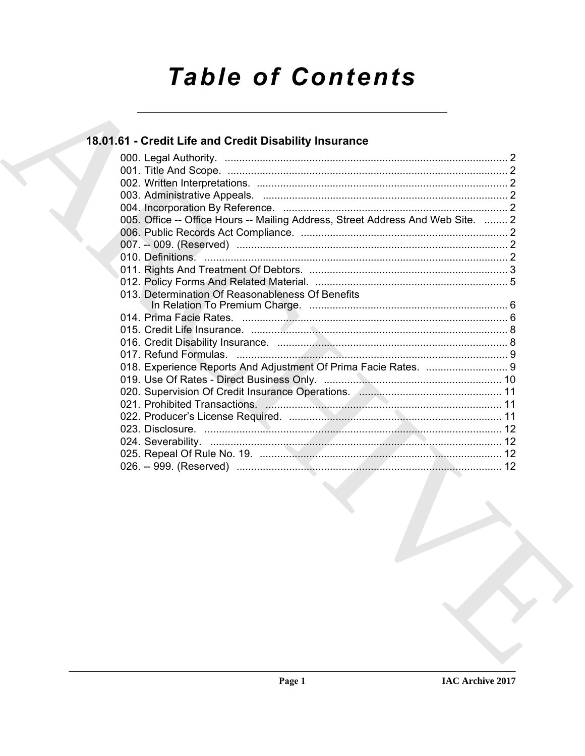# **Table of Contents**

# 18.01.61 - Credit Life and Credit Disability Insurance

|  | 005. Office -- Office Hours -- Mailing Address, Street Address And Web Site.  2 |  |
|--|---------------------------------------------------------------------------------|--|
|  |                                                                                 |  |
|  |                                                                                 |  |
|  |                                                                                 |  |
|  |                                                                                 |  |
|  |                                                                                 |  |
|  | 013. Determination Of Reasonableness Of Benefits                                |  |
|  |                                                                                 |  |
|  |                                                                                 |  |
|  |                                                                                 |  |
|  |                                                                                 |  |
|  |                                                                                 |  |
|  | 018. Experience Reports And Adjustment Of Prima Facie Rates.  9                 |  |
|  |                                                                                 |  |
|  | 020. Supervision Of Credit Insurance Operations. Annumination and the 11        |  |
|  |                                                                                 |  |
|  |                                                                                 |  |
|  |                                                                                 |  |
|  |                                                                                 |  |
|  |                                                                                 |  |
|  |                                                                                 |  |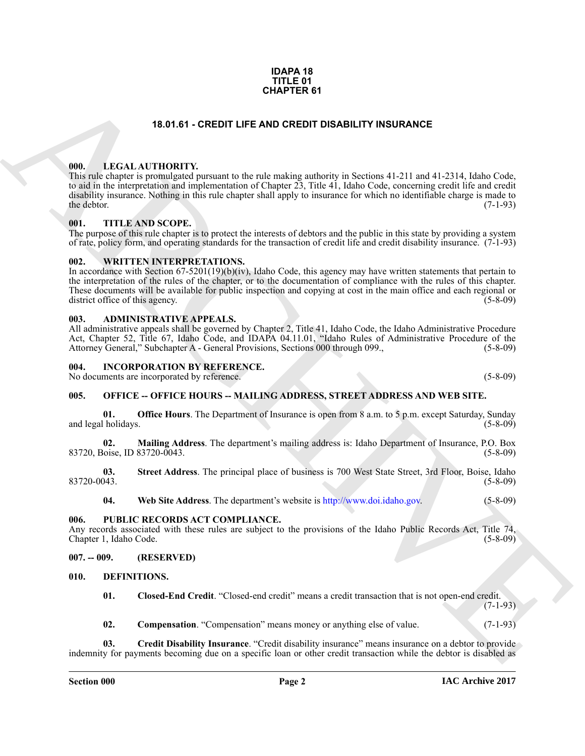### **IDAPA 18 TITLE 01 CHAPTER 61**

# **18.01.61 - CREDIT LIFE AND CREDIT DISABILITY INSURANCE**

# <span id="page-1-1"></span><span id="page-1-0"></span>**000. LEGAL AUTHORITY.**

**CHAPTER 61**<br> **CHARCH[IV](http://www.doi.idaho.gov)E CONTINUES CONTINUES AND ORDER DISPUTE IN SURFACE (1991)**<br> **CHARCHIVE CONTINUES CONTINUES AND INTEREST AT A CONTINUES CONTINUES CONTINUES CONTINUES (2015)**<br> **CHARCHIVE CONTINUES CONTINUES CONTINUES** This rule chapter is promulgated pursuant to the rule making authority in Sections 41-211 and 41-2314, Idaho Code, to aid in the interpretation and implementation of Chapter 23, Title 41, Idaho Code, concerning credit life and credit disability insurance. Nothing in this rule chapter shall apply to insurance for which no identifiable charge is made to the debtor. (7-1-93) the debtor.  $(7-1-93)$ 

# <span id="page-1-2"></span>**001. TITLE AND SCOPE.**

The purpose of this rule chapter is to protect the interests of debtors and the public in this state by providing a system of rate, policy form, and operating standards for the transaction of credit life and credit disability insurance. (7-1-93)

# <span id="page-1-3"></span>**002. WRITTEN INTERPRETATIONS.**

In accordance with Section 67-5201(19)(b)(iv), Idaho Code, this agency may have written statements that pertain to the interpretation of the rules of the chapter, or to the documentation of compliance with the rules of this chapter. These documents will be available for public inspection and copying at cost in the main office and each regional or district office of this agency. (5-8-09) district office of this agency.

### <span id="page-1-4"></span>**003. ADMINISTRATIVE APPEALS.**

All administrative appeals shall be governed by Chapter 2, Title 41, Idaho Code, the Idaho Administrative Procedure Act, Chapter 52, Title 67, Idaho Code, and IDAPA 04.11.01, "Idaho Rules of Administrative Procedure of the Attorney General," Subchapter A - General Provisions, Sections 000 through 099., (5-8-09)

# <span id="page-1-5"></span>**004. INCORPORATION BY REFERENCE.**

No documents are incorporated by reference. (5-8-09)

# <span id="page-1-6"></span>**005. OFFICE -- OFFICE HOURS -- MAILING ADDRESS, STREET ADDRESS AND WEB SITE.**

**01. Office Hours**. The Department of Insurance is open from 8 a.m. to 5 p.m. except Saturday, Sunday (5-8-09) and legal holidays.

**02. Mailing Address**. The department's mailing address is: Idaho Department of Insurance, P.O. Box 83720, Boise, ID 83720-0043. (5-8-09)

**03.** Street Address. The principal place of business is 700 West State Street, 3rd Floor, Boise, Idaho (5-8-09) 83720-0043. (5-8-09)

**04. Web Site Address**. The department's website is http://www.doi.idaho.gov. (5-8-09)

# <span id="page-1-7"></span>**006. PUBLIC RECORDS ACT COMPLIANCE.**

Any records associated with these rules are subject to the provisions of the Idaho Public Records Act, Title 74, Chapter 1, Idaho Code. (5-8-09)

# <span id="page-1-8"></span>**007. -- 009. (RESERVED)**

# <span id="page-1-9"></span>**010. DEFINITIONS.**

<span id="page-1-11"></span><span id="page-1-10"></span>**01. Closed-End Credit**. "Closed-end credit" means a credit transaction that is not open-end credit.  $(7-1-93)$ 

<span id="page-1-13"></span><span id="page-1-12"></span>**02. Compensation**. "Compensation" means money or anything else of value. (7-1-93)

**03. Credit Disability Insurance**. "Credit disability insurance" means insurance on a debtor to provide indemnity for payments becoming due on a specific loan or other credit transaction while the debtor is disabled as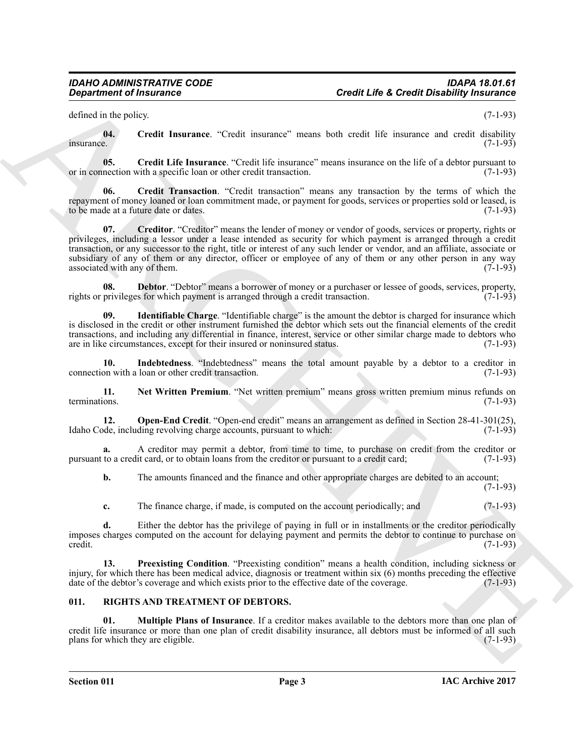defined in the policy. (7-1-93)

<span id="page-2-1"></span>**04.** Credit Insurance. "Credit insurance" means both credit life insurance and credit disability insurance.  $\blacksquare$ insurance. (7-1-93)

<span id="page-2-2"></span>**05.** Credit Life Insurance. "Credit life insurance" means insurance on the life of a debtor pursuant to nection with a specific loan or other credit transaction. (7-1-93) or in connection with a specific loan or other credit transaction.

<span id="page-2-4"></span><span id="page-2-3"></span>**06. Credit Transaction**. "Credit transaction" means any transaction by the terms of which the repayment of money loaned or loan commitment made, or payment for goods, services or properties sold or leased, is to be made at a future date or dates. (7-1-93)

**Creative of Francesco Control interaction**<br> **Creative of Francesco Control interaction** Control interaction control interaction and control interaction (1941)<br> **EXERCHIVE CREATIVE CONTROL** interaction control interaction **07. Creditor**. "Creditor" means the lender of money or vendor of goods, services or property, rights or privileges, including a lessor under a lease intended as security for which payment is arranged through a credit transaction, or any successor to the right, title or interest of any such lender or vendor, and an affiliate, associate or subsidiary of any of them or any director, officer or employee of any of them or any other person in any way associated with any of them.  $(7-1-93)$ associated with any of them.

<span id="page-2-5"></span>**Debtor**. "Debtor" means a borrower of money or a purchaser or lessee of goods, services, property, s for which payment is arranged through a credit transaction. (7-1-93) rights or privileges for which payment is arranged through a credit transaction.

<span id="page-2-6"></span>**09. Identifiable Charge**. "Identifiable charge" is the amount the debtor is charged for insurance which is disclosed in the credit or other instrument furnished the debtor which sets out the financial elements of the credit transactions, and including any differential in finance, interest, service or other similar charge made to debtors who are in like circumstances, except for their insured or noninsured status. (7-1-93)

<span id="page-2-7"></span>**10.** Indebtedness. "Indebtedness" means the total amount payable by a debtor to a creditor in on with a loan or other credit transaction. (7-1-93) connection with a loan or other credit transaction.

<span id="page-2-8"></span>**11.** Net Written Premium. "Net written premium" means gross written premium minus refunds on terminations. (7-1-93) terminations. (7-1-93)

<span id="page-2-9"></span>**12. Open-End Credit**. "Open-end credit" means an arrangement as defined in Section 28-41-301(25), Idaho Code, including revolving charge accounts, pursuant to which: (7-1-93)

**a.** A creditor may permit a debtor, from time to time, to purchase on credit from the creditor or to a credit card. (7-1-93) pursuant to a credit card, or to obtain loans from the creditor or pursuant to a credit card;

**b.** The amounts financed and the finance and other appropriate charges are debited to an account;  $(7-1-93)$ 

<span id="page-2-10"></span>**c.** The finance charge, if made, is computed on the account periodically; and  $(7-1-93)$ 

**d.** Either the debtor has the privilege of paying in full or in installments or the creditor periodically imposes charges computed on the account for delaying payment and permits the debtor to continue to purchase on credit. (7-1-93)  $\text{credit.}$  (7-1-93)

**13. Preexisting Condition**. "Preexisting condition" means a health condition, including sickness or injury, for which there has been medical advice, diagnosis or treatment within six (6) months preceding the effective date of the debtor's coverage and which exists prior to the effective date of the coverage. (7-1-93) date of the debtor's coverage and which exists prior to the effective date of the coverage.

# <span id="page-2-11"></span><span id="page-2-0"></span>**011. RIGHTS AND TREATMENT OF DEBTORS.**

<span id="page-2-12"></span>**01. Multiple Plans of Insurance**. If a creditor makes available to the debtors more than one plan of credit life insurance or more than one plan of credit disability insurance, all debtors must be informed of all such plans for which they are eligible. (7-1-93) plans for which they are eligible.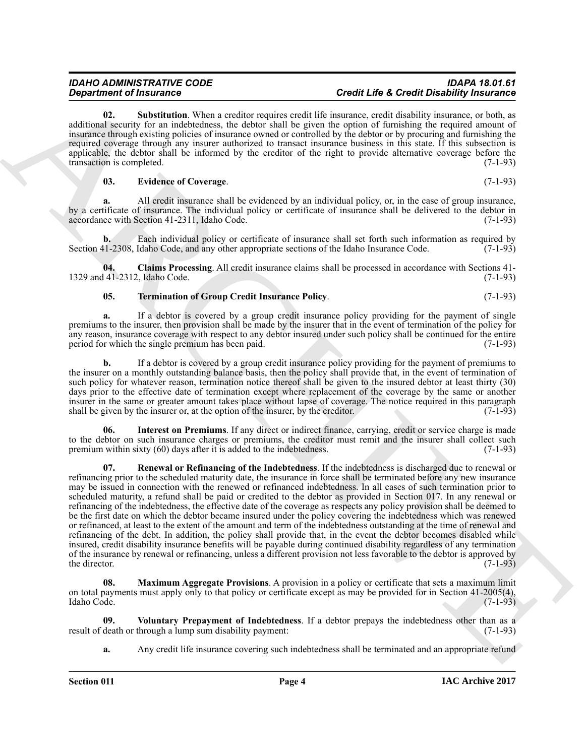<span id="page-3-5"></span>**02. Substitution**. When a creditor requires credit life insurance, credit disability insurance, or both, as additional security for an indebtedness, the debtor shall be given the option of furnishing the required amount of insurance through existing policies of insurance owned or controlled by the debtor or by procuring and furnishing the required coverage through any insurer authorized to transact insurance business in this state. If this subsection is applicable, the debtor shall be informed by the creditor of the right to provide alternative coverage before the transaction is completed. (7-1-93)

### <span id="page-3-1"></span>**03. Evidence of Coverage**. (7-1-93)

**a.** All credit insurance shall be evidenced by an individual policy, or, in the case of group insurance, by a certificate of insurance. The individual policy or certificate of insurance shall be delivered to the debtor in accordance with Section 41-2311, Idaho Code. (7-1-93) accordance with Section 41-2311, Idaho Code.

**b.** Each individual policy or certificate of insurance shall set forth such information as required by Section 41-2308, Idaho Code, and any other appropriate sections of the Idaho Insurance Code. (7-1-93)

**04. Claims Processing**. All credit insurance claims shall be processed in accordance with Sections 41- 1329 and 41-2312, Idaho Code.

# <span id="page-3-6"></span><span id="page-3-0"></span>**05. Termination of Group Credit Insurance Policy**. (7-1-93)

**a.** If a debtor is covered by a group credit insurance policy providing for the payment of single premiums to the insurer, then provision shall be made by the insurer that in the event of termination of the policy for any reason, insurance coverage with respect to any debtor insured under such policy shall be continued for the entire period for which the single premium has been paid. (7-1-93)

**b.** If a debtor is covered by a group credit insurance policy providing for the payment of premiums to the insurer on a monthly outstanding balance basis, then the policy shall provide that, in the event of termination of such policy for whatever reason, termination notice thereof shall be given to the insured debtor at least thirty (30) days prior to the effective date of termination except where replacement of the coverage by the same or another insurer in the same or greater amount takes place without lapse of coverage. The notice required in this paragraph shall be given by the insurer or, at the option of the insurer, by the creditor. (7-1-93) shall be given by the insurer or, at the option of the insurer, by the creditor.

<span id="page-3-4"></span><span id="page-3-2"></span>**06.** Interest on Premiums. If any direct or indirect finance, carrying, credit or service charge is made to the debtor on such insurance charges or premiums, the creditor must remit and the insurer shall collect such<br>premium within sixty (60) days after it is added to the indebtedness. (7-1-93) premium within sixty  $(60)$  days after it is added to the indebtedness.

**Considered Francesco C**<br> **Considered Francesco C**<br> **Considered Francesco C**<br> **Considered Francesco** C and the state of the state of the state of the state of the state of the state of the state of the state of the state **07. Renewal or Refinancing of the Indebtedness**. If the indebtedness is discharged due to renewal or refinancing prior to the scheduled maturity date, the insurance in force shall be terminated before any new insurance may be issued in connection with the renewed or refinanced indebtedness. In all cases of such termination prior to scheduled maturity, a refund shall be paid or credited to the debtor as provided in Section 017. In any renewal or refinancing of the indebtedness, the effective date of the coverage as respects any policy provision shall be deemed to be the first date on which the debtor became insured under the policy covering the indebtedness which was renewed or refinanced, at least to the extent of the amount and term of the indebtedness outstanding at the time of renewal and refinancing of the debt. In addition, the policy shall provide that, in the event the debtor becomes disabled while insured, credit disability insurance benefits will be payable during continued disability regardless of any termination of the insurance by renewal or refinancing, unless a different provision not less favorable to the debtor is approved by the director.  $(7-1-93)$ 

<span id="page-3-3"></span>**08. Maximum Aggregate Provisions**. A provision in a policy or certificate that sets a maximum limit on total payments must apply only to that policy or certificate except as may be provided for in Section 41-2005(4), Idaho Code. (7-1-93)

**09.** Voluntary Prepayment of Indebtedness. If a debtor prepays the indebtedness other than as a death or through a lump sum disability payment: (7-1-93) result of death or through a lump sum disability payment:

<span id="page-3-7"></span>**a.** Any credit life insurance covering such indebtedness shall be terminated and an appropriate refund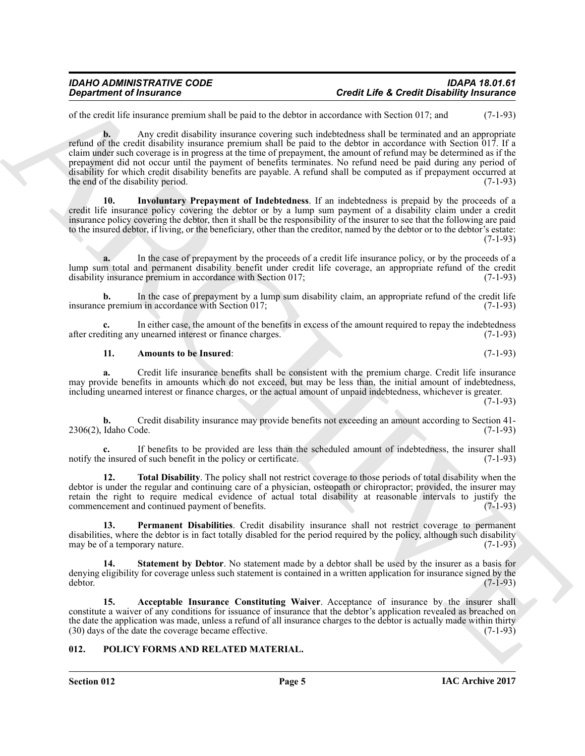of the credit life insurance premium shall be paid to the debtor in accordance with Section 017; and (7-1-93)

*Department of Insurance*<br>
Supportine of the constraints of the status in societative department of the status of the status of the status of the status of the status of the status of the status of the status of the sta **b.** Any credit disability insurance covering such indebtedness shall be terminated and an appropriate refund of the credit disability insurance premium shall be paid to the debtor in accordance with Section 017. If a claim under such coverage is in progress at the time of prepayment, the amount of refund may be determined as if the prepayment did not occur until the payment of benefits terminates. No refund need be paid during any period of disability for which credit disability benefits are payable. A refund shall be computed as if prepayment occurred at the end of the disability period. (7-1-93)

<span id="page-4-4"></span>**10. Involuntary Prepayment of Indebtedness**. If an indebtedness is prepaid by the proceeds of a credit life insurance policy covering the debtor or by a lump sum payment of a disability claim under a credit insurance policy covering the debtor, then it shall be the responsibility of the insurer to see that the following are paid to the insured debtor, if living, or the beneficiary, other than the creditor, named by the debtor or to the debtor's estate:  $(7-1-93)$ 

**a.** In the case of prepayment by the proceeds of a credit life insurance policy, or by the proceeds of a lump sum total and permanent disability benefit under credit life coverage, an appropriate refund of the credit disability insurance premium in accordance with Section 017; (7-1-93) disability insurance premium in accordance with Section 017;

**b.** In the case of prepayment by a lump sum disability claim, an appropriate refund of the credit life premium in accordance with Section 017; insurance premium in accordance with Section 017;

**c.** In either case, the amount of the benefits in excess of the amount required to repay the indebtedness liting any unearned interest or finance charges. (7-1-93) after crediting any unearned interest or finance charges.

# <span id="page-4-3"></span>**11. Amounts to be Insured**: (7-1-93)

**a.** Credit life insurance benefits shall be consistent with the premium charge. Credit life insurance may provide benefits in amounts which do not exceed, but may be less than, the initial amount of indebtedness, including unearned interest or finance charges, or the actual amount of unpaid indebtedness, whichever is greater.

(7-1-93)

**b.** Credit disability insurance may provide benefits not exceeding an amount according to Section 41-2306(2), Idaho Code. (7-1-93)

**c.** If benefits to be provided are less than the scheduled amount of indebtedness, the insurer shall be insured of such benefit in the policy or certificate. (7-1-93) notify the insured of such benefit in the policy or certificate.

<span id="page-4-7"></span>**12. Total Disability**. The policy shall not restrict coverage to those periods of total disability when the debtor is under the regular and continuing care of a physician, osteopath or chiropractor; provided, the insurer may retain the right to require medical evidence of actual total disability at reasonable intervals to justify the commencement and continued payment of benefits. (7-1-93) commencement and continued payment of benefits.

<span id="page-4-5"></span>**13. Permanent Disabilities**. Credit disability insurance shall not restrict coverage to permanent disabilities, where the debtor is in fact totally disabled for the period required by the policy, although such disability may be of a temporary nature. (7-1-93) may be of a temporary nature.

<span id="page-4-6"></span>**Statement by Debtor**. No statement made by a debtor shall be used by the insurer as a basis for denying eligibility for coverage unless such statement is contained in a written application for insurance signed by the debtor. debtor. (7-1-93)

<span id="page-4-2"></span>**15. Acceptable Insurance Constituting Waiver**. Acceptance of insurance by the insurer shall constitute a waiver of any conditions for issuance of insurance that the debtor's application revealed as breached on the date the application was made, unless a refund of all insurance charges to the debtor is actually made within thirty (30) days of the date the coverage became effective.  $(30)$  days of the date the coverage became effective.

# <span id="page-4-1"></span><span id="page-4-0"></span>**012. POLICY FORMS AND RELATED MATERIAL.**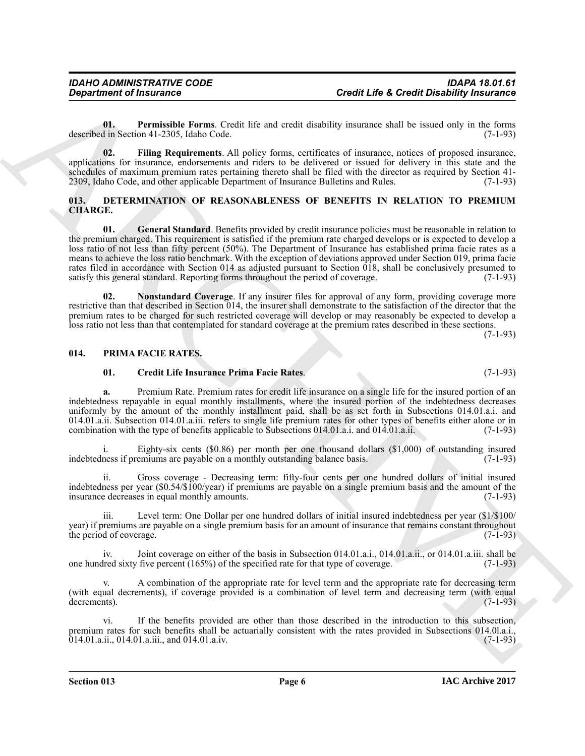<span id="page-5-6"></span>**01. Permissible Forms**. Credit life and credit disability insurance shall be issued only in the forms described in Section 41-2305, Idaho Code.

<span id="page-5-5"></span>**02. Filing Requirements**. All policy forms, certificates of insurance, notices of proposed insurance, applications for insurance, endorsements and riders to be delivered or issued for delivery in this state and the schedules of maximum premium rates pertaining thereto shall be filed with the director as required by Section 41- 2309, Idaho Code, and other applicable Department of Insurance Bulletins and Rules. (7-1-93)

# <span id="page-5-3"></span><span id="page-5-2"></span><span id="page-5-0"></span>**013. DETERMINATION OF REASONABLENESS OF BENEFITS IN RELATION TO PREMIUM CHARGE.**

**Creati Life & Creati Databallistics**<br>
University in the case of the same of the same of the same of the same of the same of the same of the same of the same of the same of the same of the same of the same of the same of **01. General Standard**. Benefits provided by credit insurance policies must be reasonable in relation to the premium charged. This requirement is satisfied if the premium rate charged develops or is expected to develop a loss ratio of not less than fifty percent (50%). The Department of Insurance has established prima facie rates as a means to achieve the loss ratio benchmark. With the exception of deviations approved under Section 019, prima facie rates filed in accordance with Section 014 as adjusted pursuant to Section 018, shall be conclusively presumed to satisfy this general standard. Reporting forms throughout the period of coverage. (7-1-93) satisfy this general standard. Reporting forms throughout the period of coverage.

<span id="page-5-4"></span>**02. Nonstandard Coverage**. If any insurer files for approval of any form, providing coverage more restrictive than that described in Section 014, the insurer shall demonstrate to the satisfaction of the director that the premium rates to be charged for such restricted coverage will develop or may reasonably be expected to develop a loss ratio not less than that contemplated for standard coverage at the premium rates described in these sections.

 $(7-1-93)$ 

# <span id="page-5-1"></span>**014. PRIMA FACIE RATES.**

# <span id="page-5-8"></span><span id="page-5-7"></span>**01. Credit Life Insurance Prima Facie Rates**. (7-1-93)

**a.** Premium Rate. Premium rates for credit life insurance on a single life for the insured portion of an indebtedness repayable in equal monthly installments, where the insured portion of the indebtedness decreases uniformly by the amount of the monthly installment paid, shall be as set forth in Subsections 014.01.a.i. and 014.01.a.ii. Subsection 014.01.a.iii. refers to single life premium rates for other types of benefits either alone or in combination with the type of benefits applicable to Subsections 014.01.a.i. and 014.01.a.ii. (7-1-93)

i. Eighty-six cents (\$0.86) per month per one thousand dollars (\$1,000) of outstanding insured ness if premiums are payable on a monthly outstanding balance basis. (7-1-93) indebtedness if premiums are payable on a monthly outstanding balance basis.

Gross coverage - Decreasing term: fifty-four cents per one hundred dollars of initial insured indebtedness per year (\$0.54/\$100/year) if premiums are payable on a single premium basis and the amount of the insurance decreases in equal monthly amounts.

iii. Level term: One Dollar per one hundred dollars of initial insured indebtedness per year (\$1/\$100/ year) if premiums are payable on a single premium basis for an amount of insurance that remains constant throughout<br>(7-1-93) the period of coverage.

iv. Joint coverage on either of the basis in Subsection 014.01.a.i., 014.01.a.ii., or 014.01.a.iii. shall be one hundred sixty five percent (165%) of the specified rate for that type of coverage. (7-1-93)

A combination of the appropriate rate for level term and the appropriate rate for decreasing term (with equal decrements), if coverage provided is a combination of level term and decreasing term (with equal decrements).  $(7-1-93)$ 

vi. If the benefits provided are other than those described in the introduction to this subsection, premium rates for such benefits shall be actuarially consistent with the rates provided in Subsections 014.0l.a.i., 014.01.a.ii., 014.01.a.iii., and 014.01.a.iv. (7-1-93)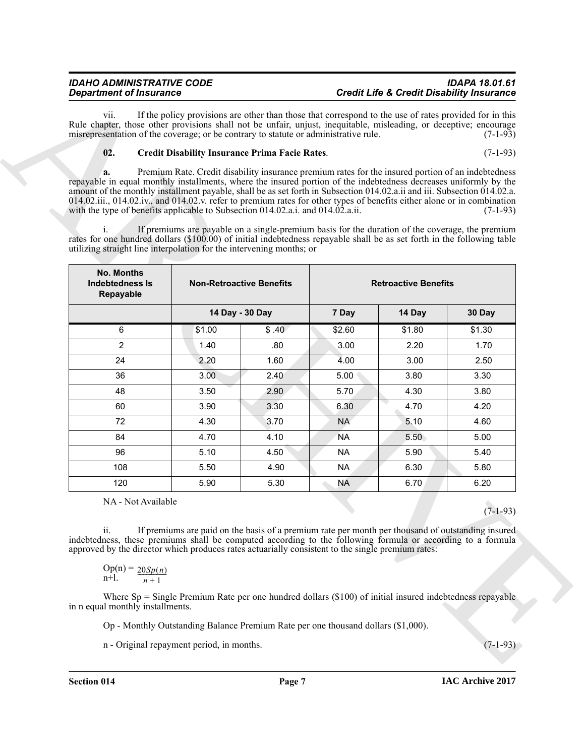# *IDAHO ADMINISTRATIVE CODE IDAPA 18.01.61 Department of Insurance Credit Life & Credit Disability Insurance*

# <span id="page-6-0"></span>**02. Credit Disability Insurance Prima Facie Rates**. (7-1-93)

| If the policy provisions are other than those that correspond to the use of rates provided for in this<br>vii.<br>Rule chapter, those other provisions shall not be unfair, unjust, inequitable, misleading, or deceptive; encourage          |                                 |                                                                                                            |                             |        |            |  |  |
|-----------------------------------------------------------------------------------------------------------------------------------------------------------------------------------------------------------------------------------------------|---------------------------------|------------------------------------------------------------------------------------------------------------|-----------------------------|--------|------------|--|--|
| misrepresentation of the coverage; or be contrary to statute or administrative rule.<br>$(7-1-93)$                                                                                                                                            |                                 |                                                                                                            |                             |        |            |  |  |
| 02.<br><b>Credit Disability Insurance Prima Facie Rates.</b>                                                                                                                                                                                  |                                 |                                                                                                            |                             |        | $(7-1-93)$ |  |  |
| Premium Rate. Credit disability insurance premium rates for the insured portion of an indebtedness<br>a.                                                                                                                                      |                                 |                                                                                                            |                             |        |            |  |  |
| repayable in equal monthly installments, where the insured portion of the indebtedness decreases uniformly by the<br>amount of the monthly installment payable, shall be as set forth in Subsection 014.02.a.ii and iii. Subsection 014.02.a. |                                 |                                                                                                            |                             |        |            |  |  |
| 014.02.iii., 014.02.iv., and 014.02.v. refer to premium rates for other types of benefits either alone or in combination                                                                                                                      |                                 |                                                                                                            |                             |        |            |  |  |
| with the type of benefits applicable to Subsection 014.02.a.i. and 014.02.a.ii.                                                                                                                                                               |                                 |                                                                                                            |                             |        | $(7-1-93)$ |  |  |
| $\mathbf{1}$ .                                                                                                                                                                                                                                |                                 | If premiums are payable on a single-premium basis for the duration of the coverage, the premium            |                             |        |            |  |  |
| rates for one hundred dollars (\$100.00) of initial indebtedness repayable shall be as set forth in the following table<br>utilizing straight line interpolation for the intervening months; or                                               |                                 |                                                                                                            |                             |        |            |  |  |
|                                                                                                                                                                                                                                               |                                 |                                                                                                            |                             |        |            |  |  |
| <b>No. Months</b><br>Indebtedness Is<br>Repayable                                                                                                                                                                                             | <b>Non-Retroactive Benefits</b> |                                                                                                            | <b>Retroactive Benefits</b> |        |            |  |  |
|                                                                                                                                                                                                                                               | 14 Day - 30 Day                 |                                                                                                            | 7 Day                       | 14 Day | 30 Day     |  |  |
| 6                                                                                                                                                                                                                                             | \$1.00                          | \$.40                                                                                                      | \$2.60                      | \$1.80 | \$1.30     |  |  |
| 2                                                                                                                                                                                                                                             | 1.40                            | .80                                                                                                        | 3.00                        | 2.20   | 1.70       |  |  |
| 24                                                                                                                                                                                                                                            | 2.20                            | 1.60                                                                                                       | 4.00                        | 3.00   | 2.50       |  |  |
| 36                                                                                                                                                                                                                                            | 3.00                            | 2.40                                                                                                       | 5.00                        | 3.80   | 3.30       |  |  |
| 48                                                                                                                                                                                                                                            | 3.50                            | 2.90                                                                                                       | 5.70                        | 4.30   | 3.80       |  |  |
| 60                                                                                                                                                                                                                                            | 3.90                            | 3.30                                                                                                       | 6.30                        | 4.70   | 4.20       |  |  |
| 72                                                                                                                                                                                                                                            | 4.30                            | 3.70                                                                                                       | <b>NA</b>                   | 5.10   | 4.60       |  |  |
| 84                                                                                                                                                                                                                                            | 4.70                            | 4.10                                                                                                       | <b>NA</b>                   | 5.50   | 5.00       |  |  |
| 96                                                                                                                                                                                                                                            | 5.10                            | 4.50                                                                                                       | <b>NA</b>                   | 5.90   | 5.40       |  |  |
| 108                                                                                                                                                                                                                                           | 5.50                            | 4.90                                                                                                       | <b>NA</b>                   | 6.30   | 5.80       |  |  |
| 120                                                                                                                                                                                                                                           | 5.90                            | 5.30                                                                                                       | <b>NA</b>                   | 6.70   | 6.20       |  |  |
| NA - Not Available                                                                                                                                                                                                                            |                                 |                                                                                                            |                             |        | $(7-1-93)$ |  |  |
| $\overline{\mathbf{11}}$ .                                                                                                                                                                                                                    |                                 | If premiums are paid on the basis of a premium rate per month per thousand of outstanding insured          |                             |        |            |  |  |
| indebtedness, these premiums shall be computed according to the following formula or according to a formula<br>approved by the director which produces rates actuarially consistent to the single premium rates:                              |                                 |                                                                                                            |                             |        |            |  |  |
| Op(n) = $\frac{20Sp(n)}{n+1}$                                                                                                                                                                                                                 |                                 |                                                                                                            |                             |        |            |  |  |
| in n equal monthly installments.                                                                                                                                                                                                              |                                 | Where $Sp =$ Single Premium Rate per one hundred dollars (\$100) of initial insured indebtedness repayable |                             |        |            |  |  |
|                                                                                                                                                                                                                                               |                                 |                                                                                                            |                             |        |            |  |  |
| Op - Monthly Outstanding Balance Premium Rate per one thousand dollars (\$1,000).                                                                                                                                                             |                                 |                                                                                                            |                             |        |            |  |  |

$$
\operatorname{Op}(n) = \frac{20Sp(n)}{n+1}
$$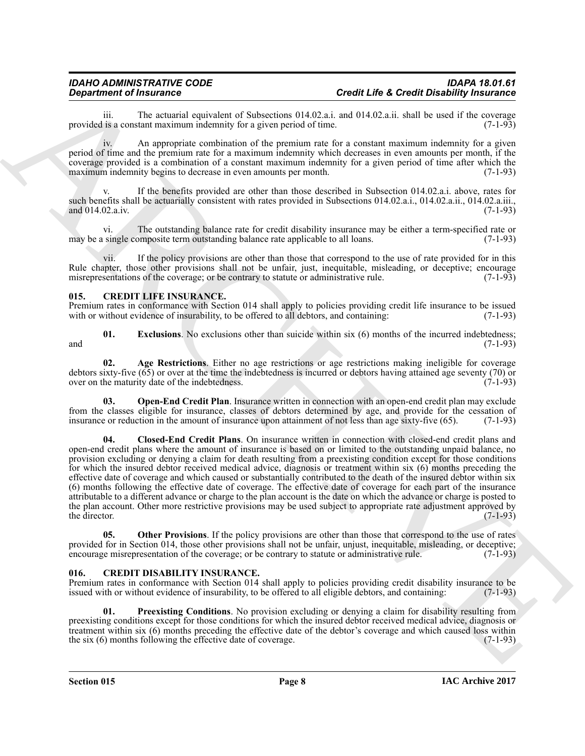iii. The actuarial equivalent of Subsections 014.02.a.i. and 014.02.a.ii. shall be used if the coverage is a constant maximum indemnity for a given period of time.  $(7-1-93)$ provided is a constant maximum indemnity for a given period of time.

iv. An appropriate combination of the premium rate for a constant maximum indemnity for a given period of time and the premium rate for a maximum indemnity which decreases in even amounts per month, if the coverage provided is a combination of a constant maximum indemnity for a given period of time after which the maximum indemnity begins to decrease in even amounts per month.

If the benefits provided are other than those described in Subsection  $014.02$ .a.i. above, rates for such benefits shall be actuarially consistent with rates provided in Subsections 014.02.a.i., 014.02.a.ii., 014.02.a.iii.,  $(7-1-93)$ and 014.02.a.iv.

vi. The outstanding balance rate for credit disability insurance may be either a term-specified rate or may be a single composite term outstanding balance rate applicable to all loans.

vii. If the policy provisions are other than those that correspond to the use of rate provided for in this Rule chapter, those other provisions shall not be unfair, just, inequitable, misleading, or deceptive; encourage misrepresentations of the coverage; or be contrary to statute or administrative rule. (7-1-93) misrepresentations of the coverage; or be contrary to statute or administrative rule.

# <span id="page-7-4"></span><span id="page-7-0"></span>**015. CREDIT LIFE INSURANCE.**

Premium rates in conformance with Section 014 shall apply to policies providing credit life insurance to be issued with or without evidence of insurability, to be offered to all debtors, and containing: (7-1-93) with or without evidence of insurability, to be offered to all debtors, and containing:

<span id="page-7-7"></span>**01. Exclusions**. No exclusions other than suicide within six (6) months of the incurred indebtedness; and  $(7-1-93)$ 

<span id="page-7-5"></span>**02. Age Restrictions**. Either no age restrictions or age restrictions making ineligible for coverage debtors sixty-five (65) or over at the time the indebtedness is incurred or debtors having attained age seventy (70) or over on the maturity date of the indebtedness.

<span id="page-7-8"></span><span id="page-7-6"></span>**Open-End Credit Plan**. Insurance written in connection with an open-end credit plan may exclude from the classes eligible for insurance, classes of debtors determined by age, and provide for the cessation of insurance or reduction in the amount of insurance upon attainment of not less than age sixty-five (65). (7-1-9 insurance or reduction in the amount of insurance upon attainment of not less than age sixty-five (65).

**Department of Instantant Schematical Schematical External Life & Credit Distribution (1993)**<br>
provided in some maximum distribution (1994) and and 1993 and 1994 and 2000 and 2000 and 2000 and 2000 and 2000 and 2000 and 2 **04. Closed-End Credit Plans**. On insurance written in connection with closed-end credit plans and open-end credit plans where the amount of insurance is based on or limited to the outstanding unpaid balance, no provision excluding or denying a claim for death resulting from a preexisting condition except for those conditions for which the insured debtor received medical advice, diagnosis or treatment within six (6) months preceding the effective date of coverage and which caused or substantially contributed to the death of the insured debtor within six (6) months following the effective date of coverage. The effective date of coverage for each part of the insurance attributable to a different advance or charge to the plan account is the date on which the advance or charge is posted to the plan account. Other more restrictive provisions may be used subject to appropriate rate adjustment approved by the director.  $(7-1-93)$ 

<span id="page-7-9"></span>**05.** Other Provisions. If the policy provisions are other than those that correspond to the use of rates provided for in Section 014, those other provisions shall not be unfair, unjust, inequitable, misleading, or deceptive;<br>encourage misrepresentation of the coverage: or be contrary to statute or administrative rule. (7-1-93 encourage misrepresentation of the coverage; or be contrary to statute or administrative rule.

# <span id="page-7-2"></span><span id="page-7-1"></span>**016. CREDIT DISABILITY INSURANCE.**

Premium rates in conformance with Section 014 shall apply to policies providing credit disability insurance to be issued with or without evidence of insurability, to be offered to all eligible debtors, and containing: (7-1 issued with or without evidence of insurability, to be offered to all eligible debtors, and containing:

<span id="page-7-3"></span>**01. Preexisting Conditions**. No provision excluding or denying a claim for disability resulting from preexisting conditions except for those conditions for which the insured debtor received medical advice, diagnosis or treatment within six (6) months preceding the effective date of the debtor's coverage and which caused loss within the six (6) months following the effective date of coverage. (7-1-93) the six  $(6)$  months following the effective date of coverage.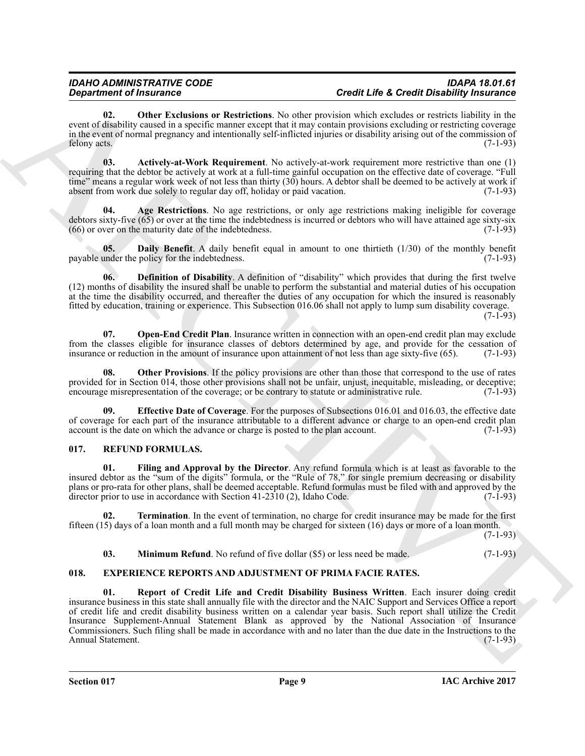<span id="page-8-8"></span>**02. Other Exclusions or Restrictions**. No other provision which excludes or restricts liability in the event of disability caused in a specific manner except that it may contain provisions excluding or restricting coverage in the event of normal pregnancy and intentionally self-inflicted injuries or disability arising out of the commission of felony acts. (7-1-93)

<span id="page-8-2"></span>**03. Actively-at-Work Requirement**. No actively-at-work requirement more restrictive than one (1) requiring that the debtor be actively at work at a full-time gainful occupation on the effective date of coverage. "Full time" means a regular work week of not less than thirty  $(30)$  hours. A debtor shall be deemed to be actively at work if absent from work due solely to regular day off, holiday or paid vacation. (7-1-93)

<span id="page-8-3"></span>**04. Age Restrictions**. No age restrictions, or only age restrictions making ineligible for coverage debtors sixty-five  $(65)$  or over at the time the indebtedness is incurred or debtors who will have attained age sixty-six  $(66)$  or over on the maturity date of the indebtedness.  $(66)$  or over on the maturity date of the indebtedness.

<span id="page-8-4"></span>**05. Daily Benefit**. A daily benefit equal in amount to one thirtieth (1/30) of the monthly benefit under the policy for the indebtedness. (7-1-93) payable under the policy for the indebtedness.

<span id="page-8-5"></span>**06. Definition of Disability**. A definition of "disability" which provides that during the first twelve (12) months of disability the insured shall be unable to perform the substantial and material duties of his occupation at the time the disability occurred, and thereafter the duties of any occupation for which the insured is reasonably fitted by education, training or experience. This Subsection 016.06 shall not apply to lump sum disability coverage.  $(7-1-93)$ 

<span id="page-8-7"></span>**07. Open-End Credit Plan**. Insurance written in connection with an open-end credit plan may exclude from the classes eligible for insurance classes of debtors determined by age, and provide for the cessation of insurance or reduction in the amount of insurance upon attainment of not less than age sixty-five (65). (7-1-93 insurance or reduction in the amount of insurance upon attainment of not less than age sixty-five (65).

<span id="page-8-9"></span>**Other Provisions**. If the policy provisions are other than those that correspond to the use of rates provided for in Section 014, those other provisions shall not be unfair, unjust, inequitable, misleading, or deceptive;<br>encourage misrepresentation of the coverage; or be contrary to statute or administrative rule. (7-1-93 encourage misrepresentation of the coverage; or be contrary to statute or administrative rule.

<span id="page-8-6"></span>**09. Effective Date of Coverage**. For the purposes of Subsections 016.01 and 016.03, the effective date of coverage for each part of the insurance attributable to a different advance or charge to an open-end credit plan account is the date on which the advance or charge is posted to the plan account. (7-1-93) account is the date on which the advance or charge is posted to the plan account.

# <span id="page-8-12"></span><span id="page-8-0"></span>**017. REFUND FORMULAS.**

<span id="page-8-13"></span>**01. Filing and Approval by the Director**. Any refund formula which is at least as favorable to the insured debtor as the "sum of the digits" formula, or the "Rule of 78," for single premium decreasing or disability plans or pro-rata for other plans, shall be deemed acceptable. Refund formulas must be filed with and approved by the director prior to use in accordance with Section  $41-2310$  (2), Idaho Code. (7-1-93)

**02. Termination**. In the event of termination, no charge for credit insurance may be made for the first fifteen (15) days of a loan month and a full month may be charged for sixteen (16) days or more of a loan month.

(7-1-93)

# <span id="page-8-15"></span><span id="page-8-14"></span><span id="page-8-11"></span><span id="page-8-10"></span>**03. Minimum Refund**. No refund of five dollar (\$5) or less need be made. (7-1-93)

# <span id="page-8-1"></span>**018. EXPERIENCE REPORTS AND ADJUSTMENT OF PRIMA FACIE RATES.**

**Expansion of Francesco Constraints,** No okay pre-main since the Red Constraints in the same of the same of the same of the same of the same of the same of the same of the same of the same of the same of the same of the s **01. Report of Credit Life and Credit Disability Business Written**. Each insurer doing credit insurance business in this state shall annually file with the director and the NAIC Support and Services Office a report of credit life and credit disability business written on a calendar year basis. Such report shall utilize the Credit Insurance Supplement-Annual Statement Blank as approved by the National Association of Insurance Commissioners. Such filing shall be made in accordance with and no later than the due date in the Instructions to the Annual Statement.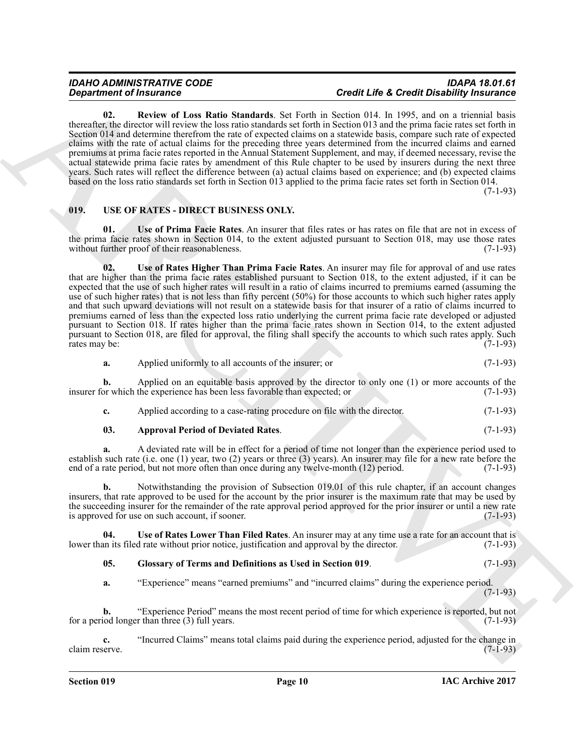<span id="page-9-1"></span>**02. Review of Loss Ratio Standards**. Set Forth in Section 014. In 1995, and on a triennial basis thereafter, the director will review the loss ratio standards set forth in Section 013 and the prima facie rates set forth in Section 014 and determine therefrom the rate of expected claims on a statewide basis, compare such rate of expected claims with the rate of actual claims for the preceding three years determined from the incurred claims and earned premiums at prima facie rates reported in the Annual Statement Supplement, and may, if deemed necessary, revise the actual statewide prima facie rates by amendment of this Rule chapter to be used by insurers during the next three years. Such rates will reflect the difference between (a) actual claims based on experience; and (b) expected claims based on the loss ratio standards set forth in Section 013 applied to the prima facie rates set forth in Section 014.

(7-1-93)

# <span id="page-9-2"></span><span id="page-9-0"></span>**019. USE OF RATES - DIRECT BUSINESS ONLY.**

<span id="page-9-6"></span><span id="page-9-5"></span>**01. Use of Prima Facie Rates**. An insurer that files rates or has rates on file that are not in excess of the prima facie rates shown in Section 014, to the extent adjusted pursuant to Section 018, may use those rates without further proof of their reasonableness. (7-1-93)

**Experimental Extra the specific term** is the total Life Contribute of the specific term in the specific term is the specific term in the specific term in the specific term is the specific term in the specific term in the **02. Use of Rates Higher Than Prima Facie Rates**. An insurer may file for approval of and use rates that are higher than the prima facie rates established pursuant to Section 018, to the extent adjusted, if it can be expected that the use of such higher rates will result in a ratio of claims incurred to premiums earned (assuming the use of such higher rates) that is not less than fifty percent (50%) for those accounts to which such higher rates apply and that such upward deviations will not result on a statewide basis for that insurer of a ratio of claims incurred to premiums earned of less than the expected loss ratio underlying the current prima facie rate developed or adjusted pursuant to Section 018. If rates higher than the prima facie rates shown in Section 014, to the extent adjusted pursuant to Section 018, are filed for approval, the filing shall specify the accounts to which such rates apply. Such rates may be: (7-1-93)

**a.** Applied uniformly to all accounts of the insurer; or (7-1-93)

**b.** Applied on an equitable basis approved by the director to only one (1) or more accounts of the or which the experience has been less favorable than expected; or  $(7-1-93)$ insurer for which the experience has been less favorable than expected; or

**c.** Applied according to a case-rating procedure on file with the director. (7-1-93)

# <span id="page-9-3"></span>**03. Approval Period of Deviated Rates**. (7-1-93)

**a.** A deviated rate will be in effect for a period of time not longer than the experience period used to establish such rate (i.e. one (1) year, two (2) years or three (3) years). An insurer may file for a new rate before the end of a rate period, but not more often than once during any twelve-month (12) period.  $(7-1-93)$ end of a rate period, but not more often than once during any twelve-month (12) period.

**b.** Notwithstanding the provision of Subsection 019.01 of this rule chapter, if an account changes insurers, that rate approved to be used for the account by the prior insurer is the maximum rate that may be used by the succeeding insurer for the remainder of the rate approval period approved for the prior insurer or until a new rate is approved for use on such account, if sooner. (7-1-93)

**04.** Use of Rates Lower Than Filed Rates. An insurer may at any time use a rate for an account that is an its filed rate without prior notice, justification and approval by the director. (7-1-93) lower than its filed rate without prior notice, justification and approval by the director.

<span id="page-9-7"></span><span id="page-9-4"></span>**05. Glossary of Terms and Definitions as Used in Section 019**. (7-1-93)

**a.** "Experience" means "earned premiums" and "incurred claims" during the experience period.  $(7-1-93)$ 

**b.** "Experience Period" means the most recent period of time for which experience is reported, but not iod longer than three (3) full years. for a period longer than three  $(3)$  full years.

**c.** "Incurred Claims" means total claims paid during the experience period, adjusted for the change in claim reserve.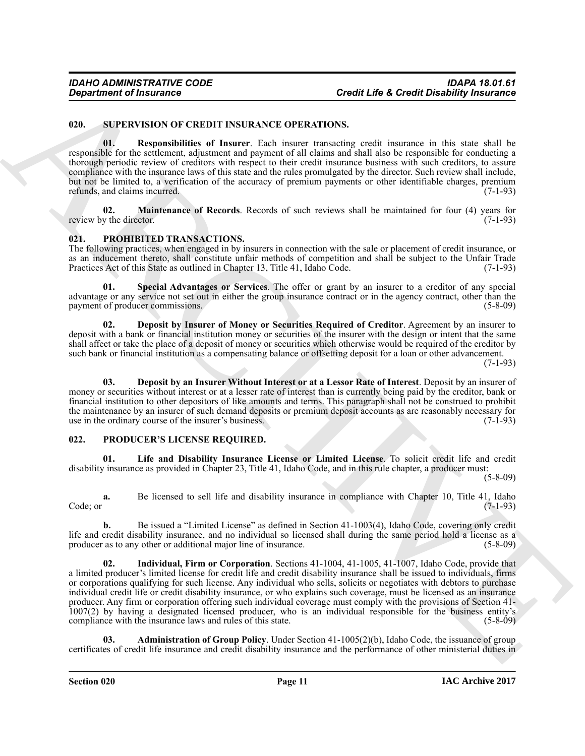# <span id="page-10-11"></span><span id="page-10-0"></span>**020. SUPERVISION OF CREDIT INSURANCE OPERATIONS.**

<span id="page-10-13"></span>**01. Responsibilities of Insurer**. Each insurer transacting credit insurance in this state shall be responsible for the settlement, adjustment and payment of all claims and shall also be responsible for conducting a thorough periodic review of creditors with respect to their credit insurance business with such creditors, to assure compliance with the insurance laws of this state and the rules promulgated by the director. Such review shall include, but not be limited to, a verification of the accuracy of premium payments or other identifiable charges, premium refunds, and claims incurred. (7-1-93)

<span id="page-10-12"></span>**02. Maintenance of Records**. Records of such reviews shall be maintained for four (4) years for y the director. (7-1-93) review by the director.

# <span id="page-10-7"></span><span id="page-10-1"></span>**021. PROHIBITED TRANSACTIONS.**

The following practices, when engaged in by insurers in connection with the sale or placement of credit insurance, or as an inducement thereto, shall constitute unfair methods of competition and shall be subject to the Unfair Trade<br>Practices Act of this State as outlined in Chapter 13, Title 41, Idaho Code. (7-1-93) Practices Act of this State as outlined in Chapter 13, Title 41, Idaho Code.

<span id="page-10-10"></span>**01. Special Advantages or Services**. The offer or grant by an insurer to a creditor of any special advantage or any service not set out in either the group insurance contract or in the agency contract, other than the payment of producer commissions. (5-8-09) payment of producer commissions.

<span id="page-10-9"></span>**02. Deposit by Insurer of Money or Securities Required of Creditor**. Agreement by an insurer to deposit with a bank or financial institution money or securities of the insurer with the design or intent that the same shall affect or take the place of a deposit of money or securities which otherwise would be required of the creditor by such bank or financial institution as a compensating balance or offsetting deposit for a loan or other advancement.

(7-1-93)

<span id="page-10-8"></span>**03. Deposit by an Insurer Without Interest or at a Lessor Rate of Interest**. Deposit by an insurer of money or securities without interest or at a lesser rate of interest than is currently being paid by the creditor, bank or financial institution to other depositors of like amounts and terms. This paragraph shall not be construed to prohibit the maintenance by an insurer of such demand deposits or premium deposit accounts as are reasonably necessary for use in the ordinary course of the insurer's business. (7-1-93) use in the ordinary course of the insurer's business.

# <span id="page-10-3"></span><span id="page-10-2"></span>**022. PRODUCER'S LICENSE REQUIRED.**

<span id="page-10-6"></span>**01. Life and Disability Insurance License or Limited License**. To solicit credit life and credit disability insurance as provided in Chapter 23, Title 41, Idaho Code, and in this rule chapter, a producer must:

(5-8-09)

**a.** Be licensed to sell life and disability insurance in compliance with Chapter 10, Title 41, Idaho (7-1-93)  $\text{Code; or}$  (7-1-93)

<span id="page-10-5"></span>**b.** Be issued a "Limited License" as defined in Section 41-1003(4), Idaho Code, covering only credit life and credit disability insurance, and no individual so licensed shall during the same period hold a license as a producer as to any other or additional major line of insurance. (5-8-09) producer as to any other or additional major line of insurance.

**Creative of Francesco COMPT INSURANCE OPERATIONS.**<br>
SURVEY USED CONTROL TRANSPORT INSURANCE OPERATIONS CONTROL TRANSPORT INTO THE CREATIVE INTERFERENCE IN THE SURVEY OF CONTROL TRANSPORTED TO A REPORT OF THE SURVEY OF TH **02. Individual, Firm or Corporation**. Sections 41-1004, 41-1005, 41-1007, Idaho Code, provide that a limited producer's limited license for credit life and credit disability insurance shall be issued to individuals, firms or corporations qualifying for such license. Any individual who sells, solicits or negotiates with debtors to purchase individual credit life or credit disability insurance, or who explains such coverage, must be licensed as an insurance producer. Any firm or corporation offering such individual coverage must comply with the provisions of Section 41- 1007(2) by having a designated licensed producer, who is an individual responsible for the business entity's compliance with the insurance laws and rules of this state.

<span id="page-10-4"></span>**03. Administration of Group Policy**. Under Section 41-1005(2)(b), Idaho Code, the issuance of group certificates of credit life insurance and credit disability insurance and the performance of other ministerial duties in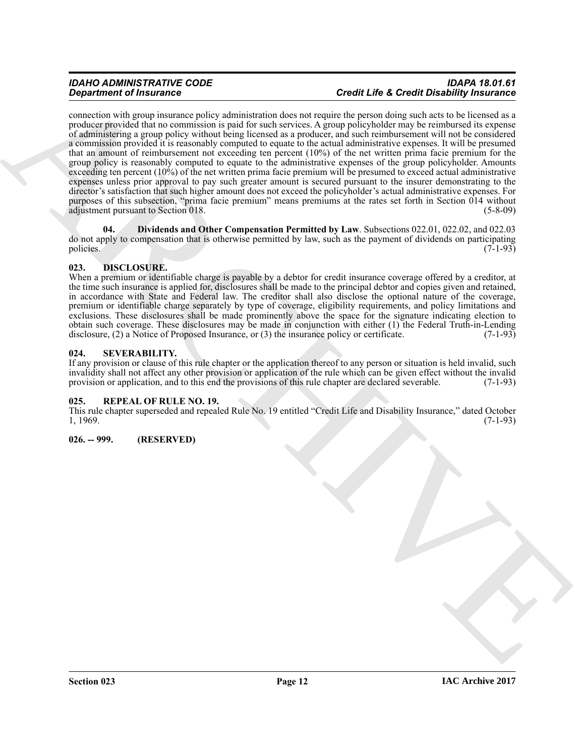# *IDAHO ADMINISTRATIVE CODE IDAPA 18.01.61 Department of Insurance Credit Life & Credit Disability Insurance*

**Experiment of Francesco CEO and Security and Security and Security and Security and Security and Security and Security and Security and Security and Security and Security and Security and Security and Security and Securi** connection with group insurance policy administration does not require the person doing such acts to be licensed as a producer provided that no commission is paid for such services. A group policyholder may be reimbursed its expense of administering a group policy without being licensed as a producer, and such reimbursement will not be considered a commission provided it is reasonably computed to equate to the actual administrative expenses. It will be presumed that an amount of reimbursement not exceeding ten percent (10%) of the net written prima facie premium for the group policy is reasonably computed to equate to the administrative expenses of the group policyholder. Amounts exceeding ten percent (10%) of the net written prima facie premium will be presumed to exceed actual administrative expenses unless prior approval to pay such greater amount is secured pursuant to the insurer demonstrating to the director's satisfaction that such higher amount does not exceed the policyholder's actual administrative expenses. For purposes of this subsection, "prima facie premium" means premiums at the rates set forth in Section 014 without adjustment pursuant to Section 018. (5-8-09)

<span id="page-11-4"></span>**04. Dividends and Other Compensation Permitted by Law**. Subsections 022.01, 022.02, and 022.03 do not apply to compensation that is otherwise permitted by law, such as the payment of dividends on participating policies. (7-1-93)

# <span id="page-11-0"></span>**023. DISCLOSURE.**

When a premium or identifiable charge is payable by a debtor for credit insurance coverage offered by a creditor, at the time such insurance is applied for, disclosures shall be made to the principal debtor and copies given and retained, in accordance with State and Federal law. The creditor shall also disclose the optional nature of the coverage, premium or identifiable charge separately by type of coverage, eligibility requirements, and policy limitations and exclusions. These disclosures shall be made prominently above the space for the signature indicating election to obtain such coverage. These disclosures may be made in conjunction with either (1) the Federal Truth-in-Lending disclosure, (2) a Notice of Proposed Insurance, or (3) the insurance policy or certificate. (7-1-93)

# <span id="page-11-1"></span>**024. SEVERABILITY.**

If any provision or clause of this rule chapter or the application thereof to any person or situation is held invalid, such invalidity shall not affect any other provision or application of the rule which can be given effect without the invalid<br>provision or application, and to this end the provisions of this rule chapter are declared severable. provision or application, and to this end the provisions of this rule chapter are declared severable.

# <span id="page-11-2"></span>**025. REPEAL OF RULE NO. 19.**

This rule chapter superseded and repealed Rule No. 19 entitled "Credit Life and Disability Insurance," dated October 1, 1969. (7-1-93)

# <span id="page-11-3"></span>**026. -- 999. (RESERVED)**